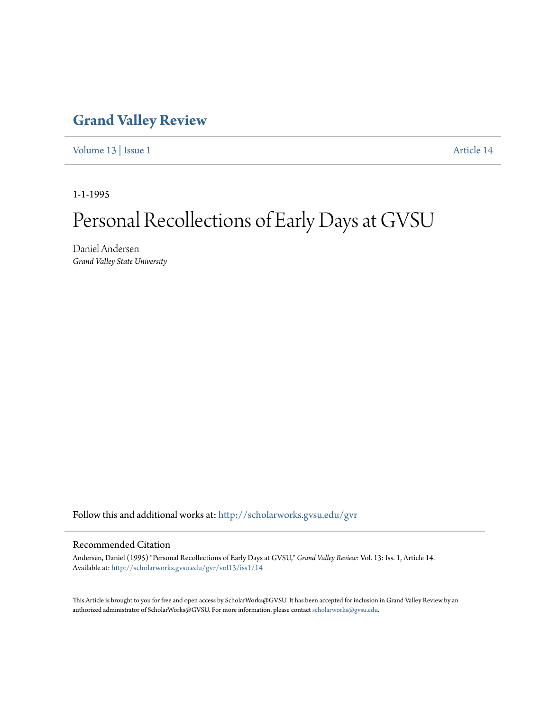### **[Grand Valley Review](http://scholarworks.gvsu.edu/gvr?utm_source=scholarworks.gvsu.edu%2Fgvr%2Fvol13%2Fiss1%2F14&utm_medium=PDF&utm_campaign=PDFCoverPages)**

[Volume 13](http://scholarworks.gvsu.edu/gvr/vol13?utm_source=scholarworks.gvsu.edu%2Fgvr%2Fvol13%2Fiss1%2F14&utm_medium=PDF&utm_campaign=PDFCoverPages) | [Issue 1](http://scholarworks.gvsu.edu/gvr/vol13/iss1?utm_source=scholarworks.gvsu.edu%2Fgvr%2Fvol13%2Fiss1%2F14&utm_medium=PDF&utm_campaign=PDFCoverPages) [Article 14](http://scholarworks.gvsu.edu/gvr/vol13/iss1/14?utm_source=scholarworks.gvsu.edu%2Fgvr%2Fvol13%2Fiss1%2F14&utm_medium=PDF&utm_campaign=PDFCoverPages)

1-1-1995

# Personal Recollections of Early Days at GVSU

Daniel Andersen *Grand Valley State University*

Follow this and additional works at: [http://scholarworks.gvsu.edu/gvr](http://scholarworks.gvsu.edu/gvr?utm_source=scholarworks.gvsu.edu%2Fgvr%2Fvol13%2Fiss1%2F14&utm_medium=PDF&utm_campaign=PDFCoverPages)

#### Recommended Citation

Andersen, Daniel (1995) "Personal Recollections of Early Days at GVSU," *Grand Valley Review*: Vol. 13: Iss. 1, Article 14. Available at: [http://scholarworks.gvsu.edu/gvr/vol13/iss1/14](http://scholarworks.gvsu.edu/gvr/vol13/iss1/14?utm_source=scholarworks.gvsu.edu%2Fgvr%2Fvol13%2Fiss1%2F14&utm_medium=PDF&utm_campaign=PDFCoverPages)

This Article is brought to you for free and open access by ScholarWorks@GVSU. It has been accepted for inclusion in Grand Valley Review by an authorized administrator of ScholarWorks@GVSU. For more information, please contact [scholarworks@gvsu.edu.](mailto:scholarworks@gvsu.edu)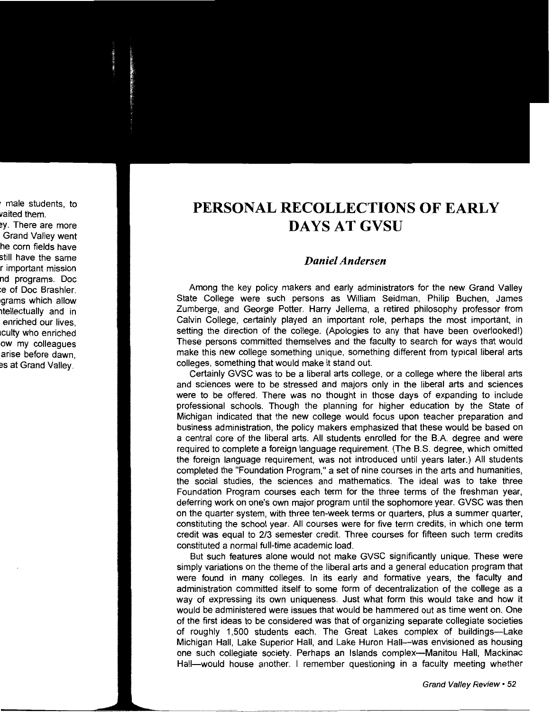## **PERSONAL RECOLLECTIONS OF EARLY DAYSATGVSU**

#### *Daniel Andersen*

Among the key policy makers and early administrators for the new Grand Valley State College were such persons as William Seidman, Philip Buchen, James Zumberge, and George Potter. Harry Jellema, a retired philosophy professor from Calvin College, certainly played an important role, perhaps the most important, in setting the direction of the college. (Apologies to any that have been overlooked!) These persons committed themselves and the faculty to search for ways that would make this new college something unique, something different from typical liberal arts colleges, something that would make it stand out.

Certainly GVSC was to be a liberal arts college, or a college where the liberal arts and sciences were to be stressed and majors only in the liberal arts and sciences were to be offered. There was no thought in those days of expanding to include professional schools. Though the planning for higher education by the State of Michigan indicated that the new college would focus upon teacher preparation and business administration, the policy makers emphasized that these would be based on a central core of the liberal arts. All students enrolled for the B.A. degree and were required to complete a foreign language requirement. (The B.S. degree, which omitted the foreign language requirement, was not introduced until years later.) All students completed the "Foundation Program," a set of nine courses in the arts and humanities, the social studies, the sciences and mathematics. The ideal was to take three Foundation Program courses each term for the three terms of the freshman year, deferring work on one's own major program until the sophomore year. GVSC was then on the quarter system, with three ten-week terms or quarters, plus a summer quarter, constituting the school year. All courses were for five term credits, in which one term credit was equal to 2/3 semester credit. Three courses for fifteen such term credits constituted a normal full-time academic load.

But such features alone would not make GVSC significantly unique. These were simply variations on the theme of the liberal arts and a general education program that were found in many colleges. In its early and formative years, the faculty and administration committed itself to some form of decentralization of the college as a way of expressing its own uniqueness. Just what form this would take and how it would be administered were issues that would be hammered out as time went on. One of the first ideas to be considered was that of organizing separate collegiate societies of roughly 1,500 students each. The Great Lakes complex of buildings-Lake Michigan Hall, Lake Superior Hall, and Lake Huron Hall-was envisioned as housing one such collegiate society. Perhaps an Islands complex---Manitou Hall, Mackinac Hall-would house another. I remember questioning in a faculty meeting whether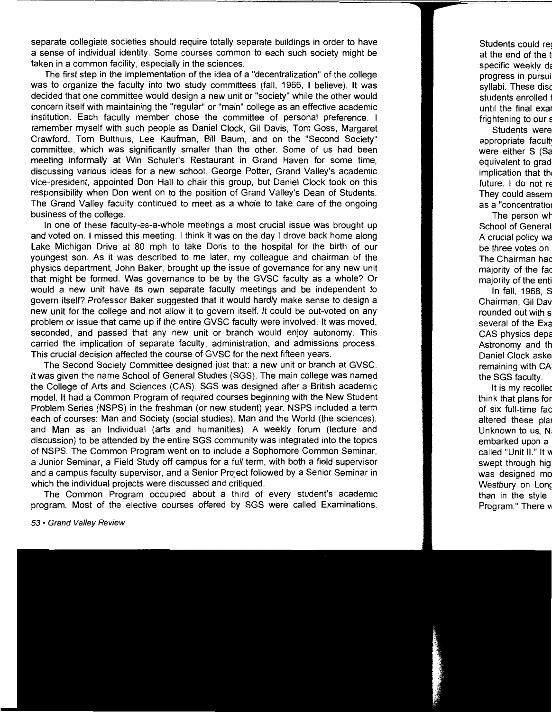separate collegiate societies should require totally separate buildings in order to have a sense of individual identity. Some courses common to each such society might be taken in a common facility, especially in the sciences.

The first step in the implementation of the idea of a "decentralization" of the college was to organize the faculty into two study committees (fall, 1966, I believe). It was decided that one committee would design a new unit or "society" while the other would concern itself with maintaining the "regular" or "main" college as an effective academic institution. Each faculty member chose the committee of personal preference. I remember myself with such people as Daniel Clock, Gil Davis, Tom Goss, Margaret Crawford, Tom Bulthuis, Lee Kaufman, Bill Baum, and on the "Second Society" committee, which was significantly smaller than the other. Some of us had been meeting informally at Win Schuler's Restaurant in Grand Haven for some time, discussing various ideas for a new school. George Potter, Grand Valley's academic vice-president, appointed Don Hall to chair this group, but Daniel Clock took on this responsibility when Don went on to the position of Grand Valley's Dean of Students. The Grand Valley faculty continued to meet as a whole to take care of the ongoing business of the college.

In one of these faculty-as-a-whole meetings a most crucial issue was brought up and voted on. I missed this meeting. I think it was on the day I drove back home along Lake Michigan Drive at 80 mph to take Doris to the hospital for the birth of our youngest son. As it was described to me later, my colleague and chairman of the physics department, John Baker, brought up the issue of governance for any new unit that might be formed. Was governance to be by the GVSC faculty as a whole? Or would a new unit have its own separate faculty meetings and be independent to govern itself? Professor Baker suggested that it would hardly make sense to design a new unit for the college and not allow it to govern itself. It could be out-voted on any problem or issue that came up if the entire GVSC faculty were involved. It was moved, seconded, and passed that any new unit or branch would enjoy autonomy. This carried the implication of separate faculty, administration, and admissions process. This crucial decision affected the course of GVSC for the next fifteen years.

The Second Society Committee designed just that: a new unit or branch at GVSC. It was given the name School of General Studies (SGS). The main college was named the College of Arts and Sciences (CAS). SGS was designed after a British academic model. It had a Common Program of required courses beginning with the New Student Problem Series (NSPS) in the freshman (or new student) year. NSPS included a term each of courses: Man and Society (social studies), Man and the World (the sciences}, and Man as an Individual (arts and humanities). A weekly forum (lecture and discussion) to be attended by the entire SGS community was integrated into the topics of NSPS. The Common Program went on to include a Sophomore Common Seminar, a Junior Seminar, a Field Study off campus for a full term, with both a field supervisor and a campus faculty supervisor, and a Senior Project followed by a Senior Seminar in which the individual projects were discussed and critiqued.

The Common Program occupied about a third of every student's academic program. Most of the elective courses offered by SGS were called Examinations.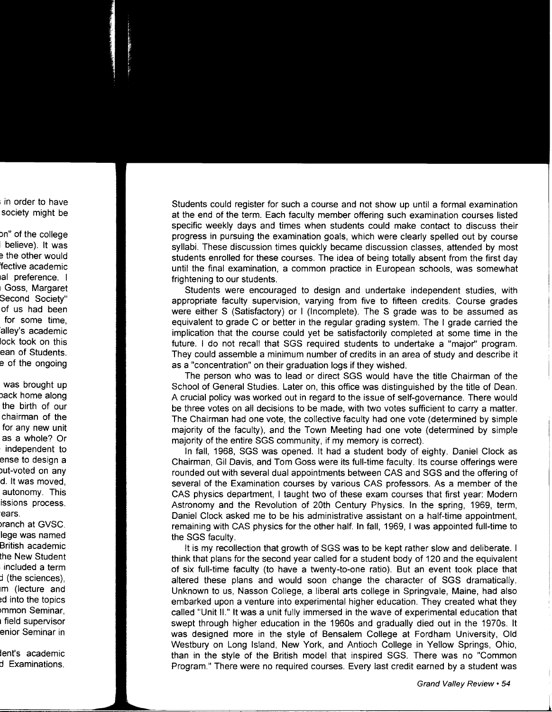Students could register for such a course and not show up until a formal examination at the end of the term. Each faculty member offering such examination courses listed specific weekly days and times when students could make contact to discuss their progress in pursuing the examination goals, which were clearly spelled out by course syllabi. These discussion times quickly became discussion classes, attended by most students enrolled for these courses. The idea of being totally absent from the first day until the final examination, a common practice in European schools, was somewhat frightening to our students.

Students were encouraged to design and undertake independent studies, with appropriate faculty supervision, varying from five to fifteen credits. Course grades were either S (Satisfactory) or I (Incomplete). The S grade was to be assumed as equivalent to grade C or better in the regular grading system. The I grade carried the implication that the course could yet be satisfactorily completed at some time in the future. I do not recall that SGS required students to undertake a "major" program. They could assemble a minimum number of credits in an area of study and describe it as a "concentration" on their graduation logs if they wished.

The person who was to lead or direct SGS would have the title Chairman of the School of General Studies. Later on, this office was distinguished by the title of Dean. A crucial policy was worked out in regard to the issue of self-governance. There would be three votes on all decisions to be made, with two votes sufficient to carry a matter. The Chairman had one vote, the collective faculty had one vote (determined by simple majority of the faculty), and the Town Meeting had one vote (determined by simple majority of the entire SGS community, if my memory is correct).

In fall, 1968, SGS was opened. It had a student body of eighty. Daniel Clock as Chairman, Gil Davis, and Tom Goss were its full-time faculty. Its course offerings were rounded out with several dual appointments between CAS and SGS and the offering of several of the Examination courses by various CAS professors. As a member of the CAS physics department, I taught two of these exam courses that first year: Modern Astronomy and the Revolution of 20th Century Physics. In the spring, 1969, term, Daniel Clock asked me to be his administrative assistant on a half-time appointment, remaining with CAS physics for the other half. In fall, 1969, I was appointed full-time to the SGS faculty.

It is my recollection that growth of SGS was to be kept rather slow and deliberate. I think that plans for the second year called for a student body of 120 and the equivalent of six full-time faculty (to have a twenty-to-one ratio). But an event took place that altered these plans and would soon change the character of SGS dramatically. Unknown to us, Nasson College, a liberal arts college in Springvale, Maine, had also embarked upon a venture into experimental higher education. They created what they called "Unit II." It was a unit fully immersed in the wave of experimental education that swept through higher education in the 1960s and gradually died out in the 1970s. It was designed more in the style of Bensalem College at Fordham University, Old Westbury on Long Island, New York, and Antioch College in Yellow Springs, Ohio, than in the style of the British model that inspired SGS. There was no "Common Program." There were no required courses. Every last credit earned by a student was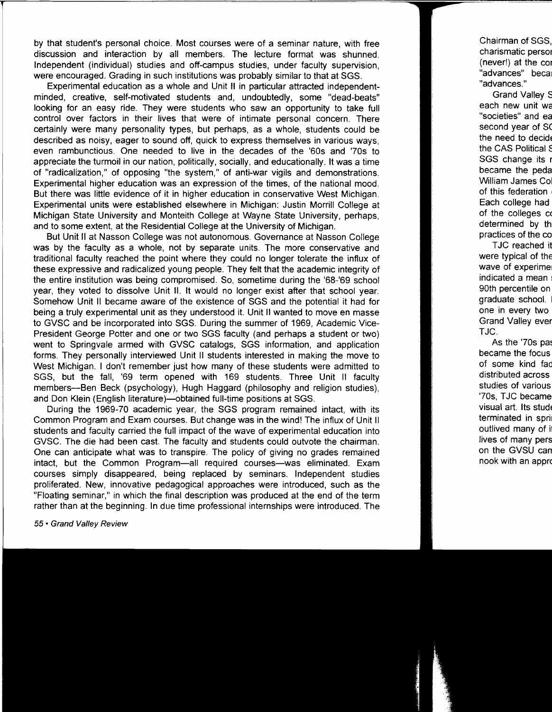by that student's personal choice. Most courses were of a seminar nature, with free discussion and interaction by all members. The lecture format was shunned. Independent (individual) studies and off-campus studies, under faculty supervision, were encouraged. Grading in such institutions was probably similar to that at SGS.

Experimental education as a whole and Unit II in particular attracted independentminded, creative, self-motivated students and, undoubtedly, some "dead-beats" looking for an easy ride. They were students who saw an opportunity to take full control over factors in their lives that were of intimate personal concern. There certainly were many personality types, but perhaps, as a whole, students could be described as noisy, eager to sound off, quick to express themselves in various ways, even rambunctious. One needed to live in the decades of the '60s and '70s to appreciate the turmoil in our nation, politically, socially, and educationally. It was a time of "radicalization," of opposing "the system," of anti-war vigils and demonstrations. Experimental higher education was an expression of the times, of the national mood. But there was little evidence of it in higher education in conservative West Michigan. Experimental units were established elsewhere in Michigan: Justin Morrill College at Michigan State University and Monteith College at Wayne State University, perhaps, and to some extent, at the Residential College at the University of Michigan.

But Unit II at Nasson College was not autonomous. Governance at Nasson College was by the faculty as a whole, not by separate units. The more conservative and traditional faculty reached the point where they could no longer tolerate the influx of these expressive and radicalized young people. They felt that the academic integrity of the entire institution was being compromised. So, sometime during the '68-'69 school year, they voted to dissolve Unit II. It would no longer exist after that school year. Somehow Unit II became aware of the existence of SGS and the potential it had for being a truly experimental unit as they understood it. Unit II wanted to move en masse to GVSC and be incorporated into SGS. During the summer of 1969, Academic Vice-President George Potter and one or two SGS faculty (and perhaps a student or two) went to Springvale armed with GVSC catalogs, SGS information, and application forms. They personally interviewed Unit II students interested in making the move to West Michigan. I don't remember just how many of these students were admitted to SGS, but the fall, '69 term opened with 169 students. Three Unit II faculty members--Ben Beck (psychology), Hugh Haggard (philosophy and religion studies), and Don Klein (English literature)--obtained full-time positions at SGS.

During the 1969-70 academic year, the SGS program remained intact, with its Common Program and Exam courses. But change was in the wind! The influx of Unit II students and faculty carried the full impact of the wave of experimental education into GVSC. The die had been cast. The faculty and students could outvote the chairman. One can anticipate what was to transpire. The policy of giving no grades remained intact, but the Common Program-all required courses-was eliminated. Exam courses simply disappeared, being replaced by seminars. Independent studies proliferated. New, innovative pedagogical approaches were introduced, such as the "Floating seminar," in which the final description was produced at the end of the term rather than at the beginning. In due time professional internships were introduced. The